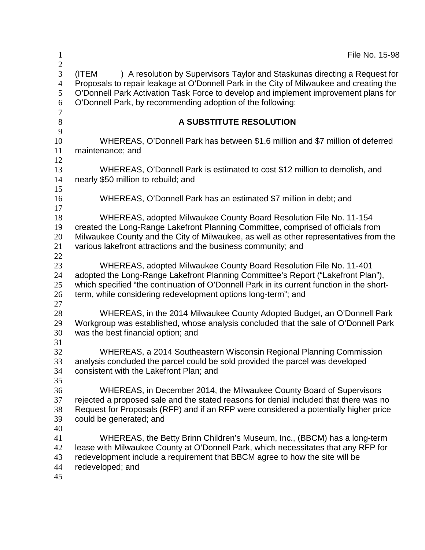| $\mathbf{1}$                                                      | File No. 15-98                                                                                                                                                                                                                                                                                                                      |
|-------------------------------------------------------------------|-------------------------------------------------------------------------------------------------------------------------------------------------------------------------------------------------------------------------------------------------------------------------------------------------------------------------------------|
| $\mathbf{2}$<br>3<br>$\overline{4}$<br>5<br>6<br>$\boldsymbol{7}$ | ) A resolution by Supervisors Taylor and Staskunas directing a Request for<br>(ITEM<br>Proposals to repair leakage at O'Donnell Park in the City of Milwaukee and creating the<br>O'Donnell Park Activation Task Force to develop and implement improvement plans for<br>O'Donnell Park, by recommending adoption of the following: |
| 8                                                                 | A SUBSTITUTE RESOLUTION                                                                                                                                                                                                                                                                                                             |
| 9<br>10<br>11<br>12                                               | WHEREAS, O'Donnell Park has between \$1.6 million and \$7 million of deferred<br>maintenance; and                                                                                                                                                                                                                                   |
| 13<br>14                                                          | WHEREAS, O'Donnell Park is estimated to cost \$12 million to demolish, and<br>nearly \$50 million to rebuild; and                                                                                                                                                                                                                   |
| 15<br>16<br>17                                                    | WHEREAS, O'Donnell Park has an estimated \$7 million in debt; and                                                                                                                                                                                                                                                                   |
| 18<br>19<br>20<br>21<br>22                                        | WHEREAS, adopted Milwaukee County Board Resolution File No. 11-154<br>created the Long-Range Lakefront Planning Committee, comprised of officials from<br>Milwaukee County and the City of Milwaukee, as well as other representatives from the<br>various lakefront attractions and the business community; and                    |
| 23<br>24<br>25<br>26                                              | WHEREAS, adopted Milwaukee County Board Resolution File No. 11-401<br>adopted the Long-Range Lakefront Planning Committee's Report ("Lakefront Plan"),<br>which specified "the continuation of O'Donnell Park in its current function in the short-<br>term, while considering redevelopment options long-term"; and                |
| 27<br>28<br>29<br>30<br>31                                        | WHEREAS, in the 2014 Milwaukee County Adopted Budget, an O'Donnell Park<br>Workgroup was established, whose analysis concluded that the sale of O'Donnell Park<br>was the best financial option; and                                                                                                                                |
| 32<br>33<br>34<br>35                                              | WHEREAS, a 2014 Southeastern Wisconsin Regional Planning Commission<br>analysis concluded the parcel could be sold provided the parcel was developed<br>consistent with the Lakefront Plan; and                                                                                                                                     |
| 36<br>37<br>38<br>39                                              | WHEREAS, in December 2014, the Milwaukee County Board of Supervisors<br>rejected a proposed sale and the stated reasons for denial included that there was no<br>Request for Proposals (RFP) and if an RFP were considered a potentially higher price<br>could be generated; and                                                    |
| 40<br>41<br>42<br>43<br>44<br>45                                  | WHEREAS, the Betty Brinn Children's Museum, Inc., (BBCM) has a long-term<br>lease with Milwaukee County at O'Donnell Park, which necessitates that any RFP for<br>redevelopment include a requirement that BBCM agree to how the site will be<br>redeveloped; and                                                                   |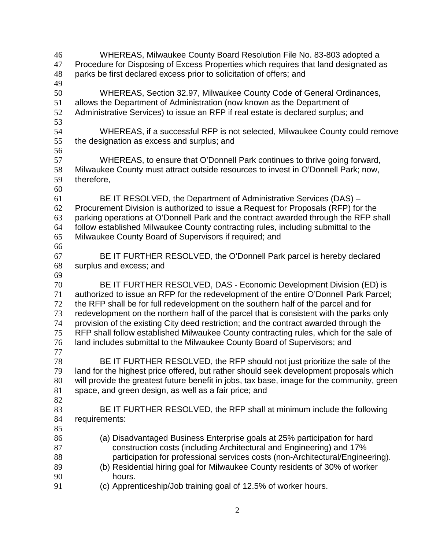WHEREAS, Milwaukee County Board Resolution File No. 83-803 adopted a Procedure for Disposing of Excess Properties which requires that land designated as parks be first declared excess prior to solicitation of offers; and WHEREAS, Section 32.97, Milwaukee County Code of General Ordinances, allows the Department of Administration (now known as the Department of Administrative Services) to issue an RFP if real estate is declared surplus; and WHEREAS, if a successful RFP is not selected, Milwaukee County could remove the designation as excess and surplus; and WHEREAS, to ensure that O'Donnell Park continues to thrive going forward, Milwaukee County must attract outside resources to invest in O'Donnell Park; now, therefore, BE IT RESOLVED, the Department of Administrative Services (DAS) – Procurement Division is authorized to issue a Request for Proposals (RFP) for the parking operations at O'Donnell Park and the contract awarded through the RFP shall follow established Milwaukee County contracting rules, including submittal to the Milwaukee County Board of Supervisors if required; and BE IT FURTHER RESOLVED, the O'Donnell Park parcel is hereby declared surplus and excess; and BE IT FURTHER RESOLVED, DAS - Economic Development Division (ED) is authorized to issue an RFP for the redevelopment of the entire O'Donnell Park Parcel; the RFP shall be for full redevelopment on the southern half of the parcel and for redevelopment on the northern half of the parcel that is consistent with the parks only provision of the existing City deed restriction; and the contract awarded through the RFP shall follow established Milwaukee County contracting rules, which for the sale of land includes submittal to the Milwaukee County Board of Supervisors; and BE IT FURTHER RESOLVED, the RFP should not just prioritize the sale of the land for the highest price offered, but rather should seek development proposals which will provide the greatest future benefit in jobs, tax base, image for the community, green space, and green design, as well as a fair price; and BE IT FURTHER RESOLVED, the RFP shall at minimum include the following requirements: (a) Disadvantaged Business Enterprise goals at 25% participation for hard construction costs (including Architectural and Engineering) and 17% participation for professional services costs (non-Architectural/Engineering). (b) Residential hiring goal for Milwaukee County residents of 30% of worker hours. (c) Apprenticeship/Job training goal of 12.5% of worker hours.